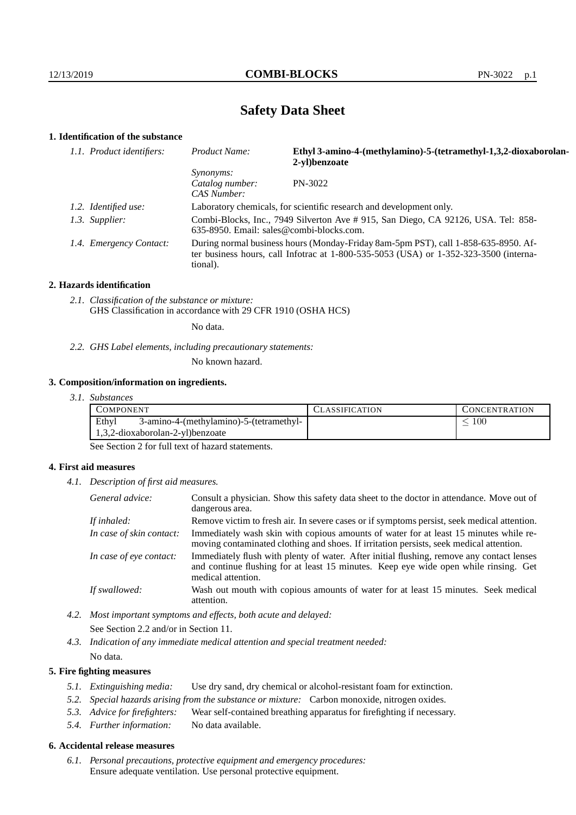# **Safety Data Sheet**

# **1. Identification of the substance**

| 1.1. Product identifiers: | Product Name:                                                                                                                                                                               | Ethyl 3-amino-4-(methylamino)-5-(tetramethyl-1,3,2-dioxaborolan-<br>2-yl)benzoate |  |
|---------------------------|---------------------------------------------------------------------------------------------------------------------------------------------------------------------------------------------|-----------------------------------------------------------------------------------|--|
|                           | <i>Synonyms:</i><br>Catalog number:<br>CAS Number:                                                                                                                                          | PN-3022                                                                           |  |
| 1.2. Identified use:      | Laboratory chemicals, for scientific research and development only.                                                                                                                         |                                                                                   |  |
| 1.3. Supplier:            | Combi-Blocks, Inc., 7949 Silverton Ave # 915, San Diego, CA 92126, USA. Tel: 858-<br>$635-8950$ . Email: sales@combi-blocks.com.                                                            |                                                                                   |  |
| 1.4. Emergency Contact:   | During normal business hours (Monday-Friday 8am-5pm PST), call 1-858-635-8950. Af-<br>ter business hours, call Infotrac at $1-800-535-5053$ (USA) or $1-352-323-3500$ (interna-<br>tional). |                                                                                   |  |

#### **2. Hazards identification**

*2.1. Classification of the substance or mixture:* GHS Classification in accordance with 29 CFR 1910 (OSHA HCS)

No data.

*2.2. GHS Label elements, including precautionary statements:*

No known hazard.

## **3. Composition/information on ingredients.**

| 3. I.<br><i>Substances</i> |  |
|----------------------------|--|
|----------------------------|--|

| COMPONENT                                                                            | <b>ASSIFICATION</b> | CONCENTRATION |
|--------------------------------------------------------------------------------------|---------------------|---------------|
| Ethyl<br>3-amino-4-(methylamino)-5-(tetramethyl-<br>1,3,2-dioxaborolan-2-yl)benzoate |                     | 100           |
|                                                                                      |                     |               |

See Section 2 for full text of hazard statements.

## **4. First aid measures**

*4.1. Description of first aid measures.*

| General advice:          | Consult a physician. Show this safety data sheet to the doctor in attendance. Move out of<br>dangerous area.                                                                                            |
|--------------------------|---------------------------------------------------------------------------------------------------------------------------------------------------------------------------------------------------------|
| If inhaled:              | Remove victim to fresh air. In severe cases or if symptoms persist, seek medical attention.                                                                                                             |
| In case of skin contact: | Immediately wash skin with copious amounts of water for at least 15 minutes while re-<br>moving contaminated clothing and shoes. If irritation persists, seek medical attention.                        |
| In case of eye contact:  | Immediately flush with plenty of water. After initial flushing, remove any contact lenses<br>and continue flushing for at least 15 minutes. Keep eye wide open while rinsing. Get<br>medical attention. |
| If swallowed:            | Wash out mouth with copious amounts of water for at least 15 minutes. Seek medical<br>attention.                                                                                                        |

*4.2. Most important symptoms and effects, both acute and delayed:* See Section 2.2 and/or in Section 11.

*4.3. Indication of any immediate medical attention and special treatment needed:* No data.

## **5. Fire fighting measures**

- *5.1. Extinguishing media:* Use dry sand, dry chemical or alcohol-resistant foam for extinction.
- *5.2. Special hazards arising from the substance or mixture:* Carbon monoxide, nitrogen oxides.
- *5.3. Advice for firefighters:* Wear self-contained breathing apparatus for firefighting if necessary.
- *5.4. Further information:* No data available.

## **6. Accidental release measures**

*6.1. Personal precautions, protective equipment and emergency procedures:* Ensure adequate ventilation. Use personal protective equipment.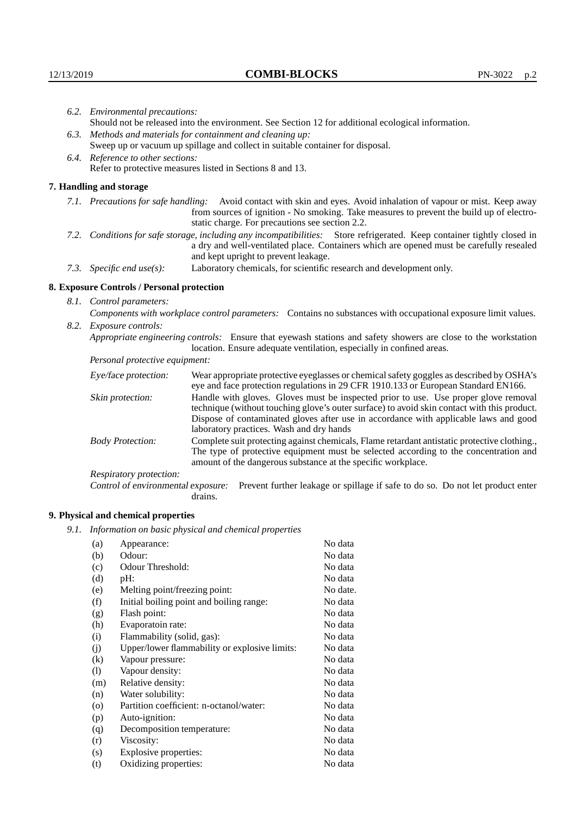| 6.2. Environmental precautions:                                                                                                                                                                                                                            |                                                                                                                                                                                                                                                                    |  |  |  |
|------------------------------------------------------------------------------------------------------------------------------------------------------------------------------------------------------------------------------------------------------------|--------------------------------------------------------------------------------------------------------------------------------------------------------------------------------------------------------------------------------------------------------------------|--|--|--|
| Should not be released into the environment. See Section 12 for additional ecological information.                                                                                                                                                         |                                                                                                                                                                                                                                                                    |  |  |  |
| 6.3. Methods and materials for containment and cleaning up:                                                                                                                                                                                                |                                                                                                                                                                                                                                                                    |  |  |  |
| Sweep up or vacuum up spillage and collect in suitable container for disposal.                                                                                                                                                                             |                                                                                                                                                                                                                                                                    |  |  |  |
| 6.4. Reference to other sections:                                                                                                                                                                                                                          |                                                                                                                                                                                                                                                                    |  |  |  |
|                                                                                                                                                                                                                                                            | Refer to protective measures listed in Sections 8 and 13.                                                                                                                                                                                                          |  |  |  |
| 7. Handling and storage                                                                                                                                                                                                                                    |                                                                                                                                                                                                                                                                    |  |  |  |
|                                                                                                                                                                                                                                                            | 7.1. Precautions for safe handling: Avoid contact with skin and eyes. Avoid inhalation of vapour or mist. Keep away<br>from sources of ignition - No smoking. Take measures to prevent the build up of electro-<br>static charge. For precautions see section 2.2. |  |  |  |
| 7.2. Conditions for safe storage, including any incompatibilities: Store refrigerated. Keep container tightly closed in<br>a dry and well-ventilated place. Containers which are opened must be carefully resealed<br>and kept upright to prevent leakage. |                                                                                                                                                                                                                                                                    |  |  |  |
| 7.3. Specific end use(s):                                                                                                                                                                                                                                  | Laboratory chemicals, for scientific research and development only.                                                                                                                                                                                                |  |  |  |
| 8. Exposure Controls / Personal protection                                                                                                                                                                                                                 |                                                                                                                                                                                                                                                                    |  |  |  |
| 8.1. Control parameters:                                                                                                                                                                                                                                   |                                                                                                                                                                                                                                                                    |  |  |  |
|                                                                                                                                                                                                                                                            | Components with workplace control parameters: Contains no substances with occupational exposure limit values.                                                                                                                                                      |  |  |  |
| 8.2. Exposure controls:                                                                                                                                                                                                                                    |                                                                                                                                                                                                                                                                    |  |  |  |
|                                                                                                                                                                                                                                                            | Appropriate engineering controls: Ensure that eyewash stations and safety showers are close to the workstation<br>location. Ensure adequate ventilation, especially in confined areas.                                                                             |  |  |  |
| Personal protective equipment:                                                                                                                                                                                                                             |                                                                                                                                                                                                                                                                    |  |  |  |
| Eye/face protection:                                                                                                                                                                                                                                       | Wear appropriate protective eyeglasses or chemical safety goggles as described by OSHA's<br>eye and face protection regulations in 29 CFR 1910.133 or European Standard EN166.                                                                                     |  |  |  |
| Skin protection:                                                                                                                                                                                                                                           | Handle with gloves. Gloves must be inspected prior to use. Use proper glove removal<br>technique (without touching glove's outer surface) to avoid skin contact with this product.                                                                                 |  |  |  |

| Eye/face protection:               | Wear appropriate protective eyeglasses or chemical safety goggles as described by OSHA's<br>eye and face protection regulations in 29 CFR 1910.133 or European Standard EN166.                                                                                                                                         |  |  |
|------------------------------------|------------------------------------------------------------------------------------------------------------------------------------------------------------------------------------------------------------------------------------------------------------------------------------------------------------------------|--|--|
| Skin protection:                   | Handle with gloves. Gloves must be inspected prior to use. Use proper glove removal<br>technique (without touching glove's outer surface) to avoid skin contact with this product.<br>Dispose of contaminated gloves after use in accordance with applicable laws and good<br>laboratory practices. Wash and dry hands |  |  |
| <b>Body Protection:</b>            | Complete suit protecting against chemicals, Flame retardant antistatic protective clothing.<br>The type of protective equipment must be selected according to the concentration and<br>amount of the dangerous substance at the specific workplace.                                                                    |  |  |
| Respiratory protection:            |                                                                                                                                                                                                                                                                                                                        |  |  |
| Control of environmental exposure: | Prevent further leakage or spillage if safe to do so. Do not let product enter<br>drains.                                                                                                                                                                                                                              |  |  |

## **9. Physical and chemical properties**

*9.1. Information on basic physical and chemical properties*

| (a)                        | Appearance:                                   | No data  |
|----------------------------|-----------------------------------------------|----------|
| (b)                        | Odour:                                        | No data  |
| (c)                        | Odour Threshold:                              | No data  |
| (d)                        | pH:                                           | No data  |
| (e)                        | Melting point/freezing point:                 | No date. |
| (f)                        | Initial boiling point and boiling range:      | No data  |
| (g)                        | Flash point:                                  | No data  |
| (h)                        | Evaporatoin rate:                             | No data  |
| (i)                        | Flammability (solid, gas):                    | No data  |
| (j)                        | Upper/lower flammability or explosive limits: | No data  |
| $\left( k\right)$          | Vapour pressure:                              | No data  |
| $\left( \mathrm{l}\right)$ | Vapour density:                               | No data  |
| (m)                        | Relative density:                             | No data  |
| (n)                        | Water solubility:                             | No data  |
| $\circ$                    | Partition coefficient: n-octanol/water:       | No data  |
| (p)                        | Auto-ignition:                                | No data  |
| (q)                        | Decomposition temperature:                    | No data  |
| (r)                        | Viscosity:                                    | No data  |
| (s)                        | Explosive properties:                         | No data  |
| (t)                        | Oxidizing properties:                         | No data  |